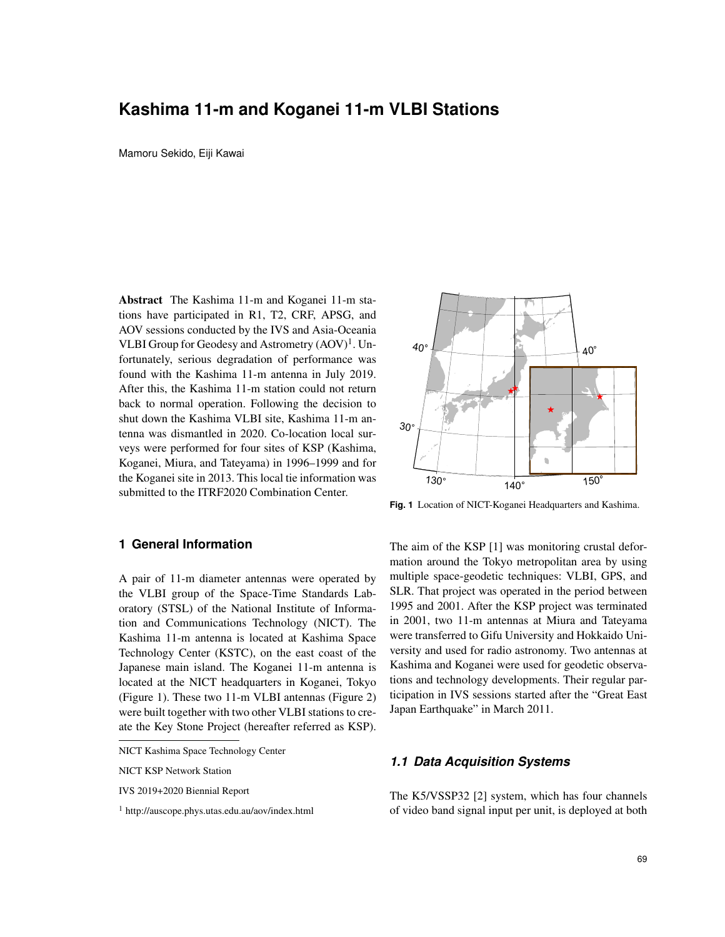# **Kashima 11-m and Koganei 11-m VLBI Stations**

Mamoru Sekido, Eiji Kawai

Abstract The Kashima 11-m and Koganei 11-m stations have participated in R1, T2, CRF, APSG, and AOV sessions conducted by the IVS and Asia-Oceania VLBI Group for Geodesy and Astrometry (AOV)<sup>1</sup>. Unfortunately, serious degradation of performance was found with the Kashima 11-m antenna in July 2019. After this, the Kashima 11-m station could not return back to normal operation. Following the decision to shut down the Kashima VLBI site, Kashima 11-m antenna was dismantled in 2020. Co-location local surveys were performed for four sites of KSP (Kashima, Koganei, Miura, and Tateyama) in 1996–1999 and for the Koganei site in 2013. This local tie information was submitted to the ITRF2020 Combination Center.



A pair of 11-m diameter antennas were operated by the VLBI group of the Space-Time Standards Laboratory (STSL) of the National Institute of Information and Communications Technology (NICT). The Kashima 11-m antenna is located at Kashima Space Technology Center (KSTC), on the east coast of the Japanese main island. The Koganei 11-m antenna is located at the NICT headquarters in Koganei, Tokyo (Figure 1). These two 11-m VLBI antennas (Figure 2) were built together with two other VLBI stations to create the Key Stone Project (hereafter referred as KSP).

NICT KSP Network Station



**Fig. 1** Location of NICT-Koganei Headquarters and Kashima.

The aim of the KSP [1] was monitoring crustal deformation around the Tokyo metropolitan area by using multiple space-geodetic techniques: VLBI, GPS, and SLR. That project was operated in the period between 1995 and 2001. After the KSP project was terminated in 2001, two 11-m antennas at Miura and Tateyama were transferred to Gifu University and Hokkaido University and used for radio astronomy. Two antennas at Kashima and Koganei were used for geodetic observations and technology developments. Their regular participation in IVS sessions started after the "Great East Japan Earthquake" in March 2011.

#### *1.1 Data Acquisition Systems*

The K5/VSSP32 [2] system, which has four channels of video band signal input per unit, is deployed at both

NICT Kashima Space Technology Center

IVS 2019+2020 Biennial Report

<sup>1</sup> http://auscope.phys.utas.edu.au/aov/index.html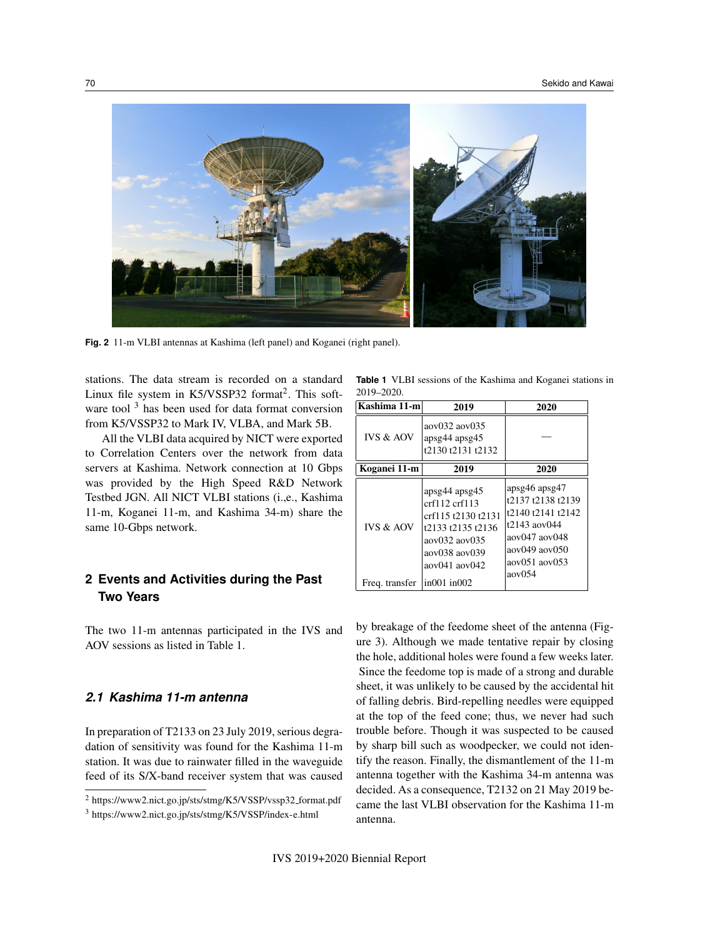

**Fig. 2** 11-m VLBI antennas at Kashima (left panel) and Koganei (right panel).

stations. The data stream is recorded on a standard Linux file system in  $K5/VSSP32$  format<sup>2</sup>. This software tool<sup>3</sup> has been used for data format conversion from K5/VSSP32 to Mark IV, VLBA, and Mark 5B.

All the VLBI data acquired by NICT were exported to Correlation Centers over the network from data servers at Kashima. Network connection at 10 Gbps was provided by the High Speed R&D Network Testbed JGN. All NICT VLBI stations (i.,e., Kashima 11-m, Koganei 11-m, and Kashima 34-m) share the same 10-Gbps network.

# **2 Events and Activities during the Past Two Years**

The two 11-m antennas participated in the IVS and AOV sessions as listed in Table 1.

## *2.1 Kashima 11-m antenna*

In preparation of T2133 on 23 July 2019, serious degradation of sensitivity was found for the Kashima 11-m station. It was due to rainwater filled in the waveguide feed of its S/X-band receiver system that was caused

**Table 1** VLBI sessions of the Kashima and Koganei stations in 2019–2020.

| Kashima 11-m         | 2019                                                                                                                                              | 2020                                                                                                                                        |
|----------------------|---------------------------------------------------------------------------------------------------------------------------------------------------|---------------------------------------------------------------------------------------------------------------------------------------------|
| <b>IVS &amp; AOV</b> | aov032 aov035<br>apsg44 apsg45<br>t2130 t2131 t2132                                                                                               |                                                                                                                                             |
| Koganei 11-m         | 2019                                                                                                                                              | 2020                                                                                                                                        |
| <b>IVS &amp; AOV</b> | apsg44 apsg45<br>crf112.crf113<br>crf115 t2130 t2131<br>t2133 t2135 t2136<br>aov032 aov035<br>$a$ ov $038$ aov $039$<br>$a$ ov $041$ $a$ ov $042$ | apsg46 apsg47<br>t2137 t2138 t2139<br>t2140 t2141 t2142<br>t2143 aov044<br>aov047 aov048<br>aov049 aov050<br>aov051 aov053<br>$a$ ov $0.54$ |
| Freq. transfer       | $\ln 001 \ln 002$                                                                                                                                 |                                                                                                                                             |

by breakage of the feedome sheet of the antenna (Figure 3). Although we made tentative repair by closing the hole, additional holes were found a few weeks later. Since the feedome top is made of a strong and durable sheet, it was unlikely to be caused by the accidental hit of falling debris. Bird-repelling needles were equipped at the top of the feed cone; thus, we never had such trouble before. Though it was suspected to be caused by sharp bill such as woodpecker, we could not identify the reason. Finally, the dismantlement of the 11-m antenna together with the Kashima 34-m antenna was decided. As a consequence, T2132 on 21 May 2019 became the last VLBI observation for the Kashima 11-m antenna.

<sup>&</sup>lt;sup>2</sup> https://www2.nict.go.jp/sts/stmg/K5/VSSP/vssp32\_format.pdf

<sup>3</sup> https://www2.nict.go.jp/sts/stmg/K5/VSSP/index-e.html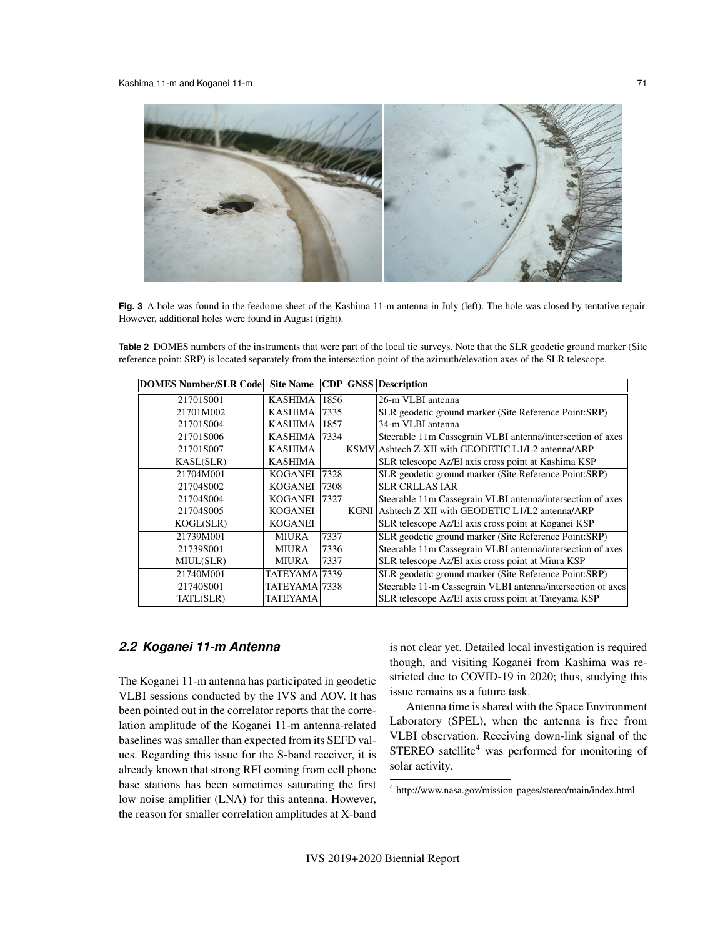

**Fig. 3** A hole was found in the feedome sheet of the Kashima 11-m antenna in July (left). The hole was closed by tentative repair. However, additional holes were found in August (right).

**Table 2** DOMES numbers of the instruments that were part of the local tie surveys. Note that the SLR geodetic ground marker (Site reference point: SRP) is located separately from the intersection point of the azimuth/elevation axes of the SLR telescope.

| DOMES Number/SLR Code | <b>Site Name</b> | CDP  | <b>GNSS</b> | Description                                                 |
|-----------------------|------------------|------|-------------|-------------------------------------------------------------|
| 21701S001             | KASHIMA          | 1856 |             | 26-m VLBI antenna                                           |
| 21701M002             | KASHIMA 7335     |      |             | SLR geodetic ground marker (Site Reference Point:SRP)       |
| 21701S004             | KASHIMA 1857     |      |             | 34-m VLBI antenna                                           |
| 21701S006             | KASHIMA   7334   |      |             | Steerable 11m Cassegrain VLBI antenna/intersection of axes  |
| 21701S007             | <b>KASHIMA</b>   |      |             | KSMV Ashtech Z-XII with GEODETIC L1/L2 antenna/ARP          |
| KASL(SLR)             | <b>KASHIMA</b>   |      |             | SLR telescope Az/El axis cross point at Kashima KSP         |
| 21704M001             | <b>KOGANEI</b>   | 7328 |             | SLR geodetic ground marker (Site Reference Point:SRP)       |
| 21704S002             | <b>KOGANEI</b>   | 7308 |             | <b>SLR CRLLAS JAR</b>                                       |
| 21704S004             | <b>KOGANEI</b>   | 7327 |             | Steerable 11m Cassegrain VLBI antenna/intersection of axes  |
| 21704S005             | <b>KOGANEI</b>   |      |             | KGNI Ashtech Z-XII with GEODETIC L1/L2 antenna/ARP          |
| KOGL(SLR)             | <b>KOGANEI</b>   |      |             | SLR telescope Az/El axis cross point at Koganei KSP         |
| 21739M001             | <b>MIURA</b>     | 7337 |             | SLR geodetic ground marker (Site Reference Point:SRP)       |
| 21739S001             | MIURA            | 7336 |             | Steerable 11m Cassegrain VLBI antenna/intersection of axes  |
| MIUL(SLR)             | <b>MIURA</b>     | 7337 |             | SLR telescope Az/El axis cross point at Miura KSP           |
| 21740M001             | TATEYAMA 7339    |      |             | SLR geodetic ground marker (Site Reference Point:SRP)       |
| 21740S001             | TATEYAMA 7338    |      |             | Steerable 11-m Cassegrain VLBI antenna/intersection of axes |
| TATL(SLR)             | TATEYAMA         |      |             | SLR telescope Az/El axis cross point at Tateyama KSP        |

#### *2.2 Koganei 11-m Antenna*

The Koganei 11-m antenna has participated in geodetic VLBI sessions conducted by the IVS and AOV. It has been pointed out in the correlator reports that the correlation amplitude of the Koganei 11-m antenna-related baselines was smaller than expected from its SEFD values. Regarding this issue for the S-band receiver, it is already known that strong RFI coming from cell phone base stations has been sometimes saturating the first low noise amplifier (LNA) for this antenna. However, the reason for smaller correlation amplitudes at X-band is not clear yet. Detailed local investigation is required though, and visiting Koganei from Kashima was restricted due to COVID-19 in 2020; thus, studying this issue remains as a future task.

Antenna time is shared with the Space Environment Laboratory (SPEL), when the antenna is free from VLBI observation. Receiving down-link signal of the STEREO satellite<sup>4</sup> was performed for monitoring of solar activity.

<sup>4</sup> http://www.nasa.gov/mission pages/stereo/main/index.html